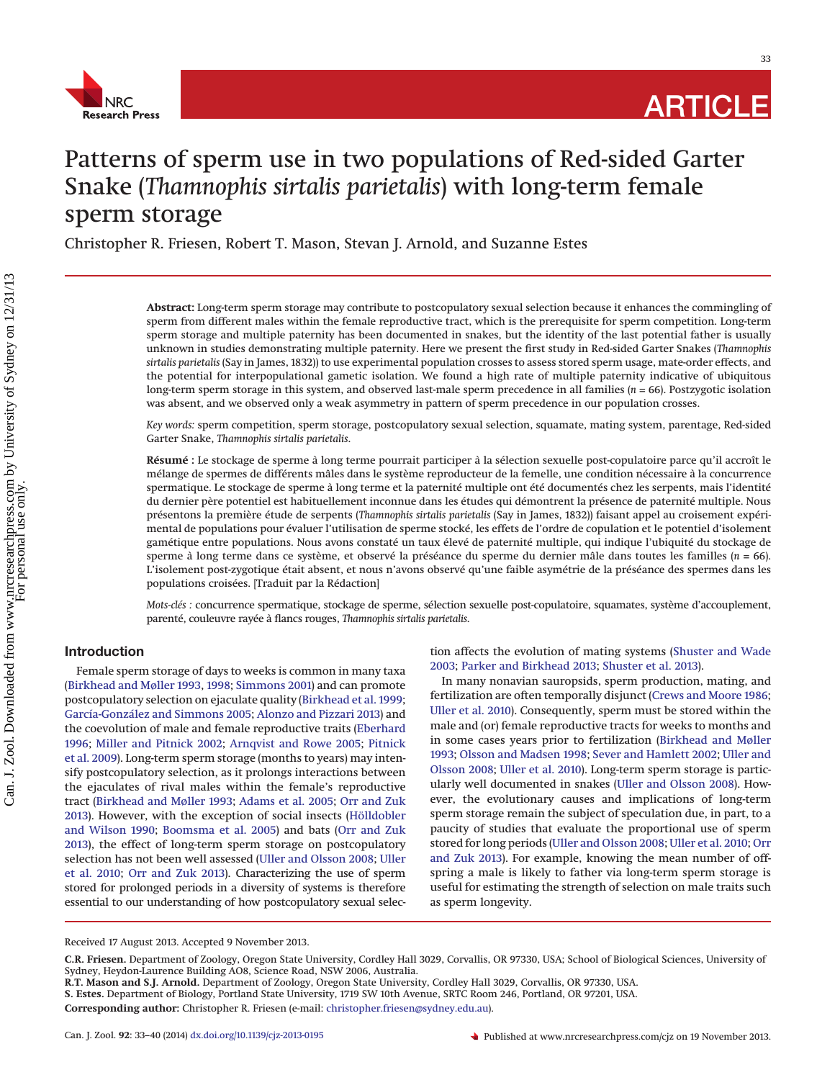

33

**ARTICLE**

# Patterns of sperm use in two populations of Red-sided Garter Snake (*Thamnophis sirtalis parietalis*) with long-term female sperm storage

Christopher R. Friesen, Robert T. Mason, Stevan J. Arnold, and Suzanne Estes

**Abstract:** Long-term sperm storage may contribute to postcopulatory sexual selection because it enhances the commingling of sperm from different males within the female reproductive tract, which is the prerequisite for sperm competition. Long-term sperm storage and multiple paternity has been documented in snakes, but the identity of the last potential father is usually unknown in studies demonstrating multiple paternity. Here we present the first study in Red-sided Garter Snakes (*Thamnophis sirtalis parietalis* (Say in James, 1832)) to use experimental population crosses to assess stored sperm usage, mate-order effects, and the potential for interpopulational gametic isolation. We found a high rate of multiple paternity indicative of ubiquitous long-term sperm storage in this system, and observed last-male sperm precedence in all families (*n* = 66). Postzygotic isolation was absent, and we observed only a weak asymmetry in pattern of sperm precedence in our population crosses.

*Key words:* sperm competition, sperm storage, postcopulatory sexual selection, squamate, mating system, parentage, Red-sided Garter Snake, *Thamnophis sirtalis parietalis*.

**Résumé :** Le stockage de sperme a` long terme pourrait participer a` la sélection sexuelle post-copulatoire parce qu'il accroît le mélange de spermes de différents mâles dans le système reproducteur de la femelle, une condition nécessaire a` la concurrence spermatique. Le stockage de sperme a` long terme et la paternité multiple ont été documentés chez les serpents, mais l'identité du dernier père potentiel est habituellement inconnue dans les études qui démontrent la présence de paternité multiple. Nous présentons la première étude de serpents (*Thamnophis sirtalis parietalis* (Say in James, 1832)) faisant appel au croisement expérimental de populations pour évaluer l'utilisation de sperme stocké, les effets de l'ordre de copulation et le potentiel d'isolement gamétique entre populations. Nous avons constaté un taux élevé de paternité multiple, qui indique l'ubiquité du stockage de sperme à long terme dans ce système, et observé la préséance du sperme du dernier mâle dans toutes les familles (*n* = 66). L'isolement post-zygotique était absent, et nous n'avons observé qu'une faible asymétrie de la préséance des spermes dans les populations croisées. [Traduit par la Rédaction]

*Mots-clés :* concurrence spermatique, stockage de sperme, sélection sexuelle post-copulatoire, squamates, système d'accouplement, parenté, couleuvre rayée a` flancs rouges, *Thamnophis sirtalis parietalis*.

# **Introduction**

Female sperm storage of days to weeks is common in many taxa [\(Birkhead and Møller 1993,](#page-6-0) [1998;](#page-6-1) [Simmons 2001\)](#page-7-0) and can promote postcopulatory selection on ejaculate quality [\(Birkhead et al. 1999;](#page-6-2) [García-González and Simmons 2005;](#page-6-3) [Alonzo and Pizzari 2013\)](#page-6-4) and the coevolution of male and female reproductive traits [\(Eberhard](#page-6-5) [1996;](#page-6-5) [Miller and Pitnick 2002;](#page-7-1) [Arnqvist and Rowe 2005;](#page-6-6) [Pitnick](#page-7-2) [et al. 2009\)](#page-7-2). Long-term sperm storage (months to years) may intensify postcopulatory selection, as it prolongs interactions between the ejaculates of rival males within the female's reproductive tract [\(Birkhead and Møller 1993;](#page-6-0) [Adams et al. 2005;](#page-6-7) [Orr and Zuk](#page-7-3) [2013\)](#page-7-3). However, with the exception of social insects [\(Hölldobler](#page-6-8) [and Wilson 1990;](#page-6-8) [Boomsma et al. 2005\)](#page-6-9) and bats [\(Orr and Zuk](#page-7-3) [2013\)](#page-7-3), the effect of long-term sperm storage on postcopulatory selection has not been well assessed [\(Uller and Olsson 2008;](#page-7-4) [Uller](#page-7-5) [et al. 2010;](#page-7-5) [Orr and Zuk 2013\)](#page-7-3). Characterizing the use of sperm stored for prolonged periods in a diversity of systems is therefore essential to our understanding of how postcopulatory sexual selection affects the evolution of mating systems [\(Shuster and Wade](#page-7-6) [2003;](#page-7-6) [Parker and Birkhead 2013;](#page-7-7) [Shuster et al. 2013\)](#page-7-8).

In many nonavian sauropsids, sperm production, mating, and fertilization are often temporally disjunct [\(Crews and Moore 1986;](#page-6-10) [Uller et al. 2010\)](#page-7-5). Consequently, sperm must be stored within the male and (or) female reproductive tracts for weeks to months and in some cases years prior to fertilization [\(Birkhead and Møller](#page-6-0) [1993;](#page-6-0) [Olsson and Madsen 1998;](#page-7-9) [Sever and Hamlett 2002;](#page-7-10) [Uller and](#page-7-4) [Olsson 2008;](#page-7-4) [Uller et al. 2010\)](#page-7-5). Long-term sperm storage is particularly well documented in snakes [\(Uller and Olsson 2008\)](#page-7-4). However, the evolutionary causes and implications of long-term sperm storage remain the subject of speculation due, in part, to a paucity of studies that evaluate the proportional use of sperm stored for long periods [\(Uller and Olsson 2008;](#page-7-4) [Uller et al. 2010;](#page-7-5) [Orr](#page-7-3) [and Zuk 2013\)](#page-7-3). For example, knowing the mean number of offspring a male is likely to father via long-term sperm storage is useful for estimating the strength of selection on male traits such as sperm longevity.

**Corresponding author:** Christopher R. Friesen (e-mail: [christopher.friesen@sydney.edu.au\)](mailto:christopher.friesen@sydney.edu.au).

Received 17 August 2013. Accepted 9 November 2013.

**C.R. Friesen.** Department of Zoology, Oregon State University, Cordley Hall 3029, Corvallis, OR 97330, USA; School of Biological Sciences, University of Sydney, Heydon-Laurence Building AO8, Science Road, NSW 2006, Australia.

**R.T. Mason and S.J. Arnold.** Department of Zoology, Oregon State University, Cordley Hall 3029, Corvallis, OR 97330, USA.

**S. Estes.** Department of Biology, Portland State University, 1719 SW 10th Avenue, SRTC Room 246, Portland, OR 97201, USA.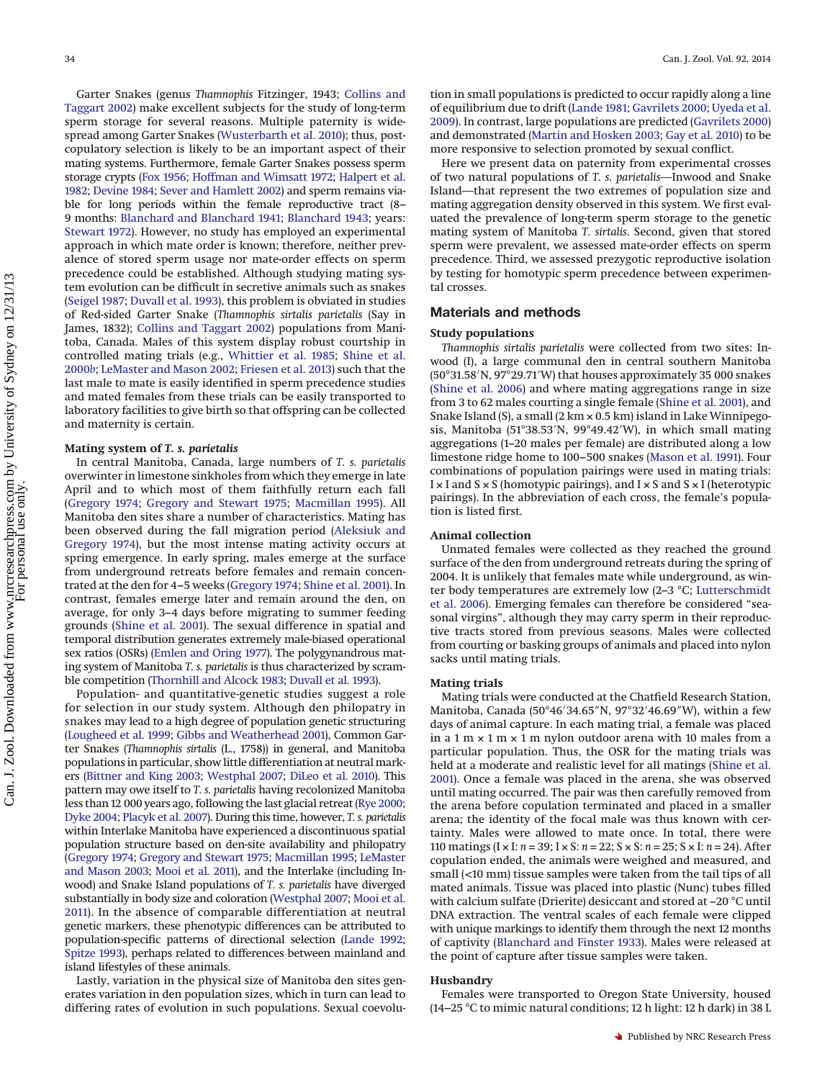Garter Snakes (genus *Thamnophis* Fitzinger, 1943; [Collins and](#page-6-11) [Taggart 2002\)](#page-6-11) make excellent subjects for the study of long-term sperm storage for several reasons. Multiple paternity is widespread among Garter Snakes [\(Wusterbarth et al. 2010\)](#page-7-11); thus, postcopulatory selection is likely to be an important aspect of their mating systems. Furthermore, female Garter Snakes possess sperm storage crypts [\(Fox 1956;](#page-6-12) [Hoffman and Wimsatt 1972;](#page-6-13) [Halpert et al.](#page-6-14) [1982;](#page-6-14) [Devine 1984;](#page-6-15) [Sever and Hamlett 2002\)](#page-7-10) and sperm remains viable for long periods within the female reproductive tract (8– 9 months: [Blanchard and Blanchard 1941;](#page-6-16) [Blanchard 1943;](#page-6-17) years: [Stewart 1972\)](#page-7-12). However, no study has employed an experimental approach in which mate order is known; therefore, neither prevalence of stored sperm usage nor mate-order effects on sperm precedence could be established. Although studying mating system evolution can be difficult in secretive animals such as snakes [\(Seigel 1987;](#page-7-13) [Duvall et al. 1993\)](#page-6-18), this problem is obviated in studies of Red-sided Garter Snake (*Thamnophis sirtalis parietalis* (Say in James, 1832); [Collins and Taggart 2002\)](#page-6-11) populations from Manitoba, Canada. Males of this system display robust courtship in controlled mating trials (e.g., [Whittier et al. 1985;](#page-7-14) [Shine et al.](#page-7-15) [2000](#page-7-15)*b*; [LeMaster and Mason 2002;](#page-6-19) [Friesen et al. 2013\)](#page-6-20) such that the last male to mate is easily identified in sperm precedence studies and mated females from these trials can be easily transported to laboratory facilities to give birth so that offspring can be collected and maternity is certain.

## **Mating system of** *T. s. parietalis*

In central Manitoba, Canada, large numbers of *T. s. parietalis* overwinter in limestone sinkholes from which they emerge in late April and to which most of them faithfully return each fall [\(Gregory 1974;](#page-6-21) [Gregory and Stewart 1975;](#page-6-22) [Macmillan 1995\)](#page-7-16). All Manitoba den sites share a number of characteristics. Mating has been observed during the fall migration period [\(Aleksiuk and](#page-6-23) [Gregory 1974\)](#page-6-23), but the most intense mating activity occurs at spring emergence. In early spring, males emerge at the surface from underground retreats before females and remain concentrated at the den for 4–5 weeks [\(Gregory 1974;](#page-6-21) [Shine et al. 2001\)](#page-7-17). In contrast, females emerge later and remain around the den, on average, for only 3–4 days before migrating to summer feeding grounds [\(Shine et al. 2001\)](#page-7-17). The sexual difference in spatial and temporal distribution generates extremely male-biased operational sex ratios (OSRs) [\(Emlen and Oring 1977\)](#page-6-24). The polygynandrous mating system of Manitoba *T. s. parietalis* is thus characterized by scramble competition [\(Thornhill and Alcock 1983;](#page-7-18) [Duvall et al. 1993\)](#page-6-18).

Population- and quantitative-genetic studies suggest a role for selection in our study system. Although den philopatry in snakes may lead to a high degree of population genetic structuring [\(Lougheed et al. 1999;](#page-6-25) [Gibbs and Weatherhead 2001\)](#page-6-26), Common Garter Snakes (*Thamnophis sirtalis* (L., 1758)) in general, and Manitoba populations in particular, show little differentiation at neutral markers [\(Bittner and King 2003;](#page-6-27) [Westphal 2007;](#page-7-19) [DiLeo et al. 2010\)](#page-6-28). This pattern may owe itself to *T. s. parietalis* having recolonized Manitoba less than 12 000 years ago, following the last glacial retreat [\(Rye 2000;](#page-7-20) [Dyke 2004;](#page-6-29) [Placyk et al. 2007\)](#page-7-21). During this time, however, *T. s. parietalis* within Interlake Manitoba have experienced a discontinuous spatial population structure based on den-site availability and philopatry [\(Gregory 1974;](#page-6-21) [Gregory and Stewart 1975;](#page-7-16) [Macmillan 1995;](#page-7-16) [LeMaster](#page-6-30) [and Mason 2003;](#page-6-30) [Mooi et al. 2011\)](#page-7-22), and the Interlake (including Inwood) and Snake Island populations of *T. s. parietalis* have diverged substantially in body size and coloration [\(Westphal 2007;](#page-7-19) [Mooi et al.](#page-7-22) [2011\)](#page-7-22). In the absence of comparable differentiation at neutral genetic markers, these phenotypic differences can be attributed to population-specific patterns of directional selection [\(Lande 1992;](#page-6-31) [Spitze 1993\)](#page-7-23), perhaps related to differences between mainland and island lifestyles of these animals.

Lastly, variation in the physical size of Manitoba den sites generates variation in den population sizes, which in turn can lead to differing rates of evolution in such populations. Sexual coevolution in small populations is predicted to occur rapidly along a line of equilibrium due to drift [\(Lande 1981;](#page-6-32) [Gavrilets 2000;](#page-6-33) [Uyeda et al.](#page-7-24) [2009\)](#page-7-24). In contrast, large populations are predicted [\(Gavrilets 2000\)](#page-6-33) and demonstrated [\(Martin and Hosken 2003;](#page-7-25) [Gay et al. 2010\)](#page-6-34) to be more responsive to selection promoted by sexual conflict.

Here we present data on paternity from experimental crosses of two natural populations of *T. s. parietalis*—Inwood and Snake Island—that represent the two extremes of population size and mating aggregation density observed in this system. We first evaluated the prevalence of long-term sperm storage to the genetic mating system of Manitoba *T. sirtalis*. Second, given that stored sperm were prevalent, we assessed mate-order effects on sperm precedence. Third, we assessed prezygotic reproductive isolation by testing for homotypic sperm precedence between experimental crosses.

# **Materials and methods**

#### **Study populations**

*Thamnophis sirtalis parietalis* were collected from two sites: Inwood (I), a large communal den in central southern Manitoba (50°31.58'N, 97°29.71'W) that houses approximately 35 000 snakes [\(Shine et al. 2006\)](#page-7-26) and where mating aggregations range in size from 3 to 62 males courting a single female [\(Shine et al. 2001\)](#page-7-17), and Snake Island (S), a small (2 km × 0.5 km) island in Lake Winnipegosis, Manitoba (51°38.53'N, 99°49.42'W), in which small mating aggregations (1–20 males per female) are distributed along a low limestone ridge home to 100–500 snakes [\(Mason et al. 1991\)](#page-7-27). Four combinations of population pairings were used in mating trials: I  $\times$  I and S  $\times$  S (homotypic pairings), and I  $\times$  S and S  $\times$  I (heterotypic pairings). In the abbreviation of each cross, the female's population is listed first.

#### **Animal collection**

Unmated females were collected as they reached the ground surface of the den from underground retreats during the spring of 2004. It is unlikely that females mate while underground, as winter body temperatures are extremely low (2–3 °C; [Lutterschmidt](#page-6-35) [et al. 2006\)](#page-6-35). Emerging females can therefore be considered "seasonal virgins", although they may carry sperm in their reproductive tracts stored from previous seasons. Males were collected from courting or basking groups of animals and placed into nylon sacks until mating trials.

## **Mating trials**

Mating trials were conducted at the Chatfield Research Station, Manitoba, Canada (50°46'34.65"N, 97°32'46.69"W), within a few days of animal capture. In each mating trial, a female was placed in a 1 m  $\times$  1 m  $\times$  1 m nylon outdoor arena with 10 males from a particular population. Thus, the OSR for the mating trials was held at a moderate and realistic level for all matings [\(Shine et al.](#page-7-17) [2001\)](#page-7-17). Once a female was placed in the arena, she was observed until mating occurred. The pair was then carefully removed from the arena before copulation terminated and placed in a smaller arena; the identity of the focal male was thus known with certainty. Males were allowed to mate once. In total, there were 110 matings (I × I: *n* = 39; I × S: *n* = 22; S × S: *n* = 25; S × I: *n* = 24). After copulation ended, the animals were weighed and measured, and small (<10 mm) tissue samples were taken from the tail tips of all mated animals. Tissue was placed into plastic (Nunc) tubes filled with calcium sulfate (Drierite) desiccant and stored at −20 °C until DNA extraction. The ventral scales of each female were clipped with unique markings to identify them through the next 12 months of captivity [\(Blanchard and Finster 1933\)](#page-6-36). Males were released at the point of capture after tissue samples were taken.

## **Husbandry**

Females were transported to Oregon State University, housed (14–25 °C to mimic natural conditions; 12 h light: 12 h dark) in 38 L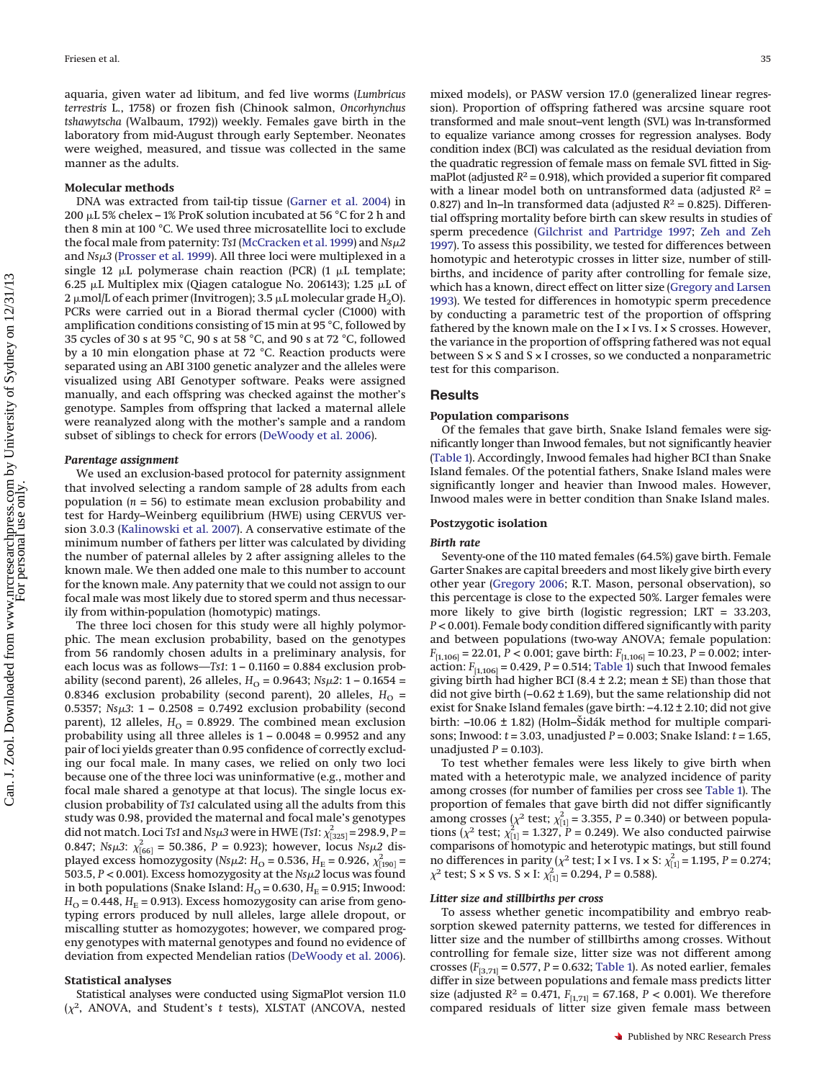aquaria, given water ad libitum, and fed live worms (*Lumbricus terrestris* L., 1758) or frozen fish (Chinook salmon, *Oncorhynchus tshawytscha* (Walbaum, 1792)) weekly. Females gave birth in the laboratory from mid-August through early September. Neonates were weighed, measured, and tissue was collected in the same manner as the adults.

# **Molecular methods**

DNA was extracted from tail-tip tissue [\(Garner et al. 2004\)](#page-6-37) in 200  $\mu$ L 5% chelex – 1% ProK solution incubated at 56 °C for 2 h and then 8 min at 100 °C. We used three microsatellite loci to exclude the focal male from paternity: Ts1 [\(McCracken et al. 1999\)](#page-7-28) and *Nsµ2* and *Ns*-*3* [\(Prosser et al. 1999\)](#page-7-29). All three loci were multiplexed in a single 12  $\mu$ L polymerase chain reaction (PCR) (1  $\mu$ L template;  $6.25 \mu L$  Multiplex mix (Qiagen catalogue No. 206143); 1.25  $\mu L$  of  $2 \mu$ mol/L of each primer (Invitrogen); 3.5  $\mu$ L molecular grade H<sub>2</sub>O). PCRs were carried out in a Biorad thermal cycler (C1000) with amplification conditions consisting of 15 min at 95 °C, followed by 35 cycles of 30 s at 95 °C, 90 s at 58 °C, and 90 s at 72 °C, followed by a 10 min elongation phase at 72 °C. Reaction products were separated using an ABI 3100 genetic analyzer and the alleles were visualized using ABI Genotyper software. Peaks were assigned manually, and each offspring was checked against the mother's genotype. Samples from offspring that lacked a maternal allele were reanalyzed along with the mother's sample and a random subset of siblings to check for errors [\(DeWoody et al. 2006\)](#page-6-38).

#### *Parentage assignment*

We used an exclusion-based protocol for paternity assignment that involved selecting a random sample of 28 adults from each population  $(n = 56)$  to estimate mean exclusion probability and test for Hardy–Weinberg equilibrium (HWE) using CERVUS version 3.0.3 [\(Kalinowski et al. 2007\)](#page-6-39). A conservative estimate of the minimum number of fathers per litter was calculated by dividing the number of paternal alleles by 2 after assigning alleles to the known male. We then added one male to this number to account for the known male. Any paternity that we could not assign to our focal male was most likely due to stored sperm and thus necessarily from within-population (homotypic) matings.

The three loci chosen for this study were all highly polymorphic. The mean exclusion probability, based on the genotypes from 56 randomly chosen adults in a preliminary analysis, for each locus was as follows-Ts1: 1 - 0.1160 = 0.884 exclusion probability (second parent), 26 alleles,  $H_{\rm O}$  = 0.9643;  $Ns\mu$ 2: 1 – 0.1654 = 0.8346 exclusion probability (second parent), 20 alleles,  $H<sub>O</sub>$  = 0.5357;  $Ns\mu 3$ :  $1 - 0.2508 = 0.7492$  exclusion probability (second parent), 12 alleles,  $H<sub>O</sub> = 0.8929$ . The combined mean exclusion probability using all three alleles is  $1 - 0.0048 = 0.9952$  and any pair of loci yields greater than 0.95 confidence of correctly excluding our focal male. In many cases, we relied on only two loci because one of the three loci was uninformative (e.g., mother and focal male shared a genotype at that locus). The single locus exclusion probability of *Ts1* calculated using all the adults from this study was 0.98, provided the maternal and focal male's genotypes did not match. Loci *Ts1* and *Nsµ3* were in HWE (*Ts1*:  $\chi^2_{[325]}$  = 298.9, *P* = 0.847; *Ns* $\mu$ 3:  $\chi^2_{[66]}$  = 50.386, *P* = 0.923); however, locus *Ns* $\mu$ <sub>2</sub> displayed excess homozygosity (*Ns* $\mu$ 2: *H*<sub>O</sub> = 0.536, *H*<sub>E</sub> = 0.926,  $\chi^2_{[190]}$  = 503.5,  $P < 0.001$ ). Excess homozygosity at the *Nsµ2* locus was found in both populations (Snake Island:  $H_{\rm O}$  = 0.630,  $H_{\rm E}$  = 0.915; Inwood:  $H_{\Omega}$  = 0.448,  $H_{\rm F}$  = 0.913). Excess homozygosity can arise from genotyping errors produced by null alleles, large allele dropout, or miscalling stutter as homozygotes; however, we compared progeny genotypes with maternal genotypes and found no evidence of deviation from expected Mendelian ratios [\(DeWoody et al. 2006\)](#page-6-38).

#### **Statistical analyses**

Statistical analyses were conducted using SigmaPlot version 11.0  $(\chi^2$ , ANOVA, and Student's *t* tests), XLSTAT (ANCOVA, nested mixed models), or PASW version 17.0 (generalized linear regression). Proportion of offspring fathered was arcsine square root transformed and male snout–vent length (SVL) was ln-transformed to equalize variance among crosses for regression analyses. Body condition index (BCI) was calculated as the residual deviation from the quadratic regression of female mass on female SVL fitted in SigmaPlot (adjusted  $R^2$  = 0.918), which provided a superior fit compared with a linear model both on untransformed data (adjusted  $R^2$  = 0.827) and ln–ln transformed data (adjusted *R*<sup>2</sup> = 0.825). Differential offspring mortality before birth can skew results in studies of sperm precedence [\(Gilchrist and Partridge 1997;](#page-6-40) [Zeh and Zeh](#page-7-30) [1997\)](#page-7-30). To assess this possibility, we tested for differences between homotypic and heterotypic crosses in litter size, number of stillbirths, and incidence of parity after controlling for female size, which has a known, direct effect on litter size [\(Gregory and Larsen](#page-6-41) [1993\)](#page-6-41). We tested for differences in homotypic sperm precedence by conducting a parametric test of the proportion of offspring fathered by the known male on the  $I \times I$  vs.  $I \times S$  crosses. However, the variance in the proportion of offspring fathered was not equal between  $S \times S$  and  $S \times I$  crosses, so we conducted a nonparametric test for this comparison.

# **Results**

#### **Population comparisons**

Of the females that gave birth, Snake Island females were significantly longer than Inwood females, but not significantly heavier [\(Table 1\)](#page-3-0). Accordingly, Inwood females had higher BCI than Snake Island females. Of the potential fathers, Snake Island males were significantly longer and heavier than Inwood males. However, Inwood males were in better condition than Snake Island males.

#### **Postzygotic isolation**

#### *Birth rate*

Seventy-one of the 110 mated females (64.5%) gave birth. Female Garter Snakes are capital breeders and most likely give birth every other year [\(Gregory 2006;](#page-6-42) R.T. Mason, personal observation), so this percentage is close to the expected 50%. Larger females were more likely to give birth (logistic regression; LRT = 33.203, *P* < 0.001). Female body condition differed significantly with parity and between populations (two-way ANOVA; female population: *F*[1,106] = 22.01, *P* < 0.001; gave birth: *F*[1,106] = 10.23, *P* = 0.002; interaction:  $F_{[1,106]} = 0.429$ ,  $P = 0.514$ ; [Table 1\)](#page-3-0) such that Inwood females giving birth had higher BCI (8.4  $\pm$  2.2; mean  $\pm$  SE) than those that did not give birth  $(-0.62 \pm 1.69)$ , but the same relationship did not exist for Snake Island females (gave birth: –4.12 ± 2.10; did not give birth: –10.06 ± 1.82) (Holm–Šidák method for multiple comparisons; Inwood: *t* = 3.03, unadjusted *P* = 0.003; Snake Island: *t* = 1.65, unadjusted  $P = 0.103$ ).

To test whether females were less likely to give birth when mated with a heterotypic male, we analyzed incidence of parity among crosses (for number of families per cross see [Table 1\)](#page-3-0). The proportion of females that gave birth did not differ significantly among crosses  $(\chi^2$  test;  $\chi^2_{[1]}$  = 3.355, *P* = 0.340) or between populations ( $\chi^2$  test;  $\chi^2_{[1]}$  = 1.327, *P* = 0.249). We also conducted pairwise comparisons of homotypic and heterotypic matings, but still found no differences in parity ( $\chi^2$  test; I × I vs. I × S:  $\chi^2_{[1]}$  = 1.195, *P* = 0.274;  $\chi^2$  test; S × S vs. S × I:  $\chi^2_{[1]} = 0.294$ , P = 0.588).

## *Litter size and stillbirths per cross*

To assess whether genetic incompatibility and embryo reabsorption skewed paternity patterns, we tested for differences in litter size and the number of stillbirths among crosses. Without controlling for female size, litter size was not different among crosses ( $F_{[3,71]} = 0.577$ ,  $P = 0.632$ ; [Table 1\)](#page-3-0). As noted earlier, females differ in size between populations and female mass predicts litter size (adjusted  $R^2 = 0.471$ ,  $F_{[1,71]} = 67.168$ ,  $P < 0.001$ ). We therefore compared residuals of litter size given female mass between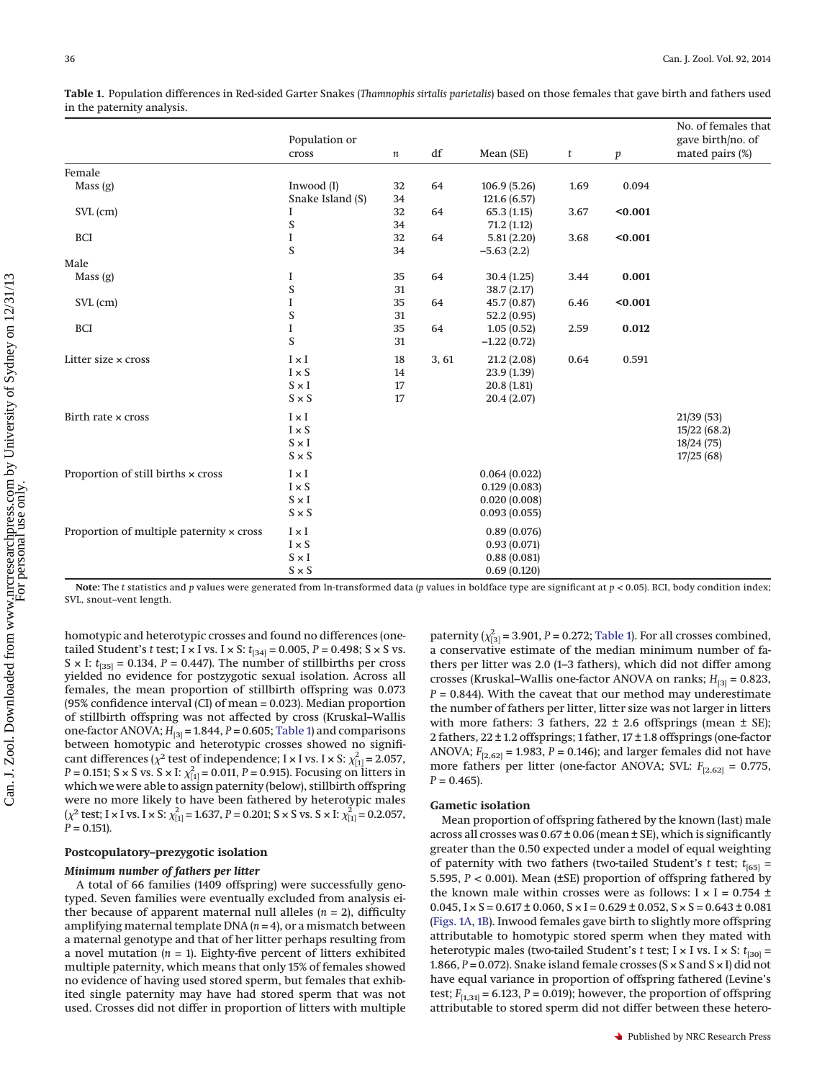|                                          |                        |                  |       |               |      |                  | No. of females that                  |
|------------------------------------------|------------------------|------------------|-------|---------------|------|------------------|--------------------------------------|
|                                          | Population or<br>cross | $\boldsymbol{n}$ | df    | Mean (SE)     | t    | $\boldsymbol{p}$ | gave birth/no. of<br>mated pairs (%) |
| Female                                   |                        |                  |       |               |      |                  |                                      |
| Mass(g)                                  | Inwood (I)             | 32               | 64    | 106.9(5.26)   | 1.69 | 0.094            |                                      |
|                                          | Snake Island (S)       | 34               |       | 121.6(6.57)   |      |                  |                                      |
| SVL (cm)                                 | 1                      | 32               | 64    | 65.3(1.15)    | 3.67 | < 0.001          |                                      |
|                                          | S                      | 34               |       | 71.2(1.12)    |      |                  |                                      |
| <b>BCI</b>                               | $\rm I$                | 32               | 64    | 5.81(2.20)    | 3.68 | < 0.001          |                                      |
|                                          | S                      | 34               |       | $-5.63(2.2)$  |      |                  |                                      |
| Male                                     |                        |                  |       |               |      |                  |                                      |
| Mass(g)                                  | $\bf{I}$               | 35               | 64    | 30.4(1.25)    | 3.44 | 0.001            |                                      |
|                                          | ${\mathsf S}$          | 31               |       | 38.7(2.17)    |      |                  |                                      |
| SVL (cm)                                 | $\bf I$                | 35               | 64    | 45.7 (0.87)   | 6.46 | $0.001$          |                                      |
|                                          | S                      | 31               |       | 52.2 (0.95)   |      |                  |                                      |
| <b>BCI</b>                               | $\mathbf I$            | 35               | 64    | 1.05(0.52)    | 2.59 | 0.012            |                                      |
|                                          | S                      | 31               |       | $-1.22(0.72)$ |      |                  |                                      |
| Litter size x cross                      | $I \times I$           | 18               | 3, 61 | 21.2(2.08)    | 0.64 | 0.591            |                                      |
|                                          | $I \times S$           | 14               |       | 23.9 (1.39)   |      |                  |                                      |
|                                          | $S \times I$           | 17               |       | 20.8(1.81)    |      |                  |                                      |
|                                          | $S \times S$           | 17               |       | 20.4 (2.07)   |      |                  |                                      |
| Birth rate x cross                       | $I \times I$           |                  |       |               |      |                  | 21/39(53)                            |
|                                          | $I \times S$           |                  |       |               |      |                  | 15/22(68.2)                          |
|                                          | $S \times I$           |                  |       |               |      |                  | 18/24(75)                            |
|                                          | $S \times S$           |                  |       |               |      |                  | 17/25(68)                            |
| Proportion of still births x cross       | $I \times I$           |                  |       | 0.064(0.022)  |      |                  |                                      |
|                                          | $I \times S$           |                  |       | 0.129(0.083)  |      |                  |                                      |
|                                          | $S \times I$           |                  |       | 0.020(0.008)  |      |                  |                                      |
|                                          | $S \times S$           |                  |       | 0.093(0.055)  |      |                  |                                      |
| Proportion of multiple paternity x cross | $I \times I$           |                  |       | 0.89(0.076)   |      |                  |                                      |
|                                          | $I \times S$           |                  |       | 0.93(0.071)   |      |                  |                                      |
|                                          | $S \times I$           |                  |       | 0.88(0.081)   |      |                  |                                      |
|                                          | $S \times S$           |                  |       | 0.69(0.120)   |      |                  |                                      |

<span id="page-3-0"></span>**Table 1.** Population differences in Red-sided Garter Snakes (*Thamnophis sirtalis parietalis*) based on those females that gave birth and fathers used in the paternity analysis.

**Note:** The *t* statistics and *p* values were generated from ln-transformed data (*p* values in boldface type are significant at *p* < 0.05). BCI, body condition index; SVL, snout–vent length.

homotypic and heterotypic crosses and found no differences (onetailed Student's *t* test; I × I vs. I × S:  $t_{[34]} = 0.005$ ,  $P = 0.498$ ; S × S vs. S  $\times$  I:  $t_{[35]}$  = 0.134, *P* = 0.447). The number of stillbirths per cross yielded no evidence for postzygotic sexual isolation. Across all females, the mean proportion of stillbirth offspring was 0.073 (95% confidence interval (CI) of mean = 0.023). Median proportion of stillbirth offspring was not affected by cross (Kruskal–Wallis one-factor ANOVA;  $H_{3}$  = 1.844,  $P$  = 0.605; [Table 1\)](#page-3-0) and comparisons between homotypic and heterotypic crosses showed no significant differences ( $\chi^2$  test of independence; I × I vs. I × S:  $\chi^2_{[1]}$  = 2.057, *P* = 0.151; S × S vs. S × I:  $\chi^2_{[1]}$  = 0.011, *P* = 0.915). Focusing on litters in which we were able to assign paternity (below), stillbirth offspring were no more likely to have been fathered by heterotypic males  $(\chi^2 \text{ test}; \text{ I} \times \text{I} \text{ vs. } \text{I} \times \text{S}: \chi^2_{[1]} = 1.637, P = 0.201; S \times S \text{ vs. } S \times \text{I}: \chi^2_{[1]} = 0.2.057,$  $P = 0.151$ .

# **Postcopulatory–prezygotic isolation**

## *Minimum number of fathers per litter*

A total of 66 families (1409 offspring) were successfully genotyped. Seven families were eventually excluded from analysis either because of apparent maternal null alleles  $(n = 2)$ , difficulty amplifying maternal template DNA (*n* = 4), or a mismatch between a maternal genotype and that of her litter perhaps resulting from a novel mutation  $(n = 1)$ . Eighty-five percent of litters exhibited multiple paternity, which means that only 15% of females showed no evidence of having used stored sperm, but females that exhibited single paternity may have had stored sperm that was not used. Crosses did not differ in proportion of litters with multiple

paternity ( $\chi^2_{[3]}$  = 3.901, *P* = 0.272; [Table 1\)](#page-3-0). For all crosses combined, a conservative estimate of the median minimum number of fathers per litter was 2.0 (1–3 fathers), which did not differ among crosses (Kruskal–Wallis one-factor ANOVA on ranks; *H*[3] = 0.823, *P* = 0.844). With the caveat that our method may underestimate the number of fathers per litter, litter size was not larger in litters with more fathers: 3 fathers,  $22 \pm 2.6$  offsprings (mean  $\pm$  SE); 2 fathers, 22 ± 1.2 offsprings; 1 father, 17 ± 1.8 offsprings (one-factor ANOVA;  $F_{[2,62]} = 1.983$ ,  $P = 0.146$ ); and larger females did not have more fathers per litter (one-factor ANOVA; SVL:  $F_{[2,62]} = 0.775$ ,  $P = 0.465$ ).

#### **Gametic isolation**

Mean proportion of offspring fathered by the known (last) male across all crosses was  $0.67 \pm 0.06$  (mean  $\pm$  SE), which is significantly greater than the 0.50 expected under a model of equal weighting of paternity with two fathers (two-tailed Student's *t* test;  $t_{[65]}$  = 5.595, *P* < 0.001). Mean (±SE) proportion of offspring fathered by the known male within crosses were as follows: I  $\times$  I = 0.754  $\pm$ 0.045,  $I \times S = 0.617 \pm 0.060$ ,  $S \times I = 0.629 \pm 0.052$ ,  $S \times S = 0.643 \pm 0.081$ [\(Figs. 1A,](#page-4-0) [1B\)](#page-4-0). Inwood females gave birth to slightly more offspring attributable to homotypic stored sperm when they mated with heterotypic males (two-tailed Student's *t* test; I × I vs. I × S: *t*[30] = 1.866,  $P = 0.072$ ). Snake island female crosses (S  $\times$  S and S  $\times$  I) did not have equal variance in proportion of offspring fathered (Levine's test;  $F_{[1,31]}$  = 6.123,  $P$  = 0.019); however, the proportion of offspring attributable to stored sperm did not differ between these hetero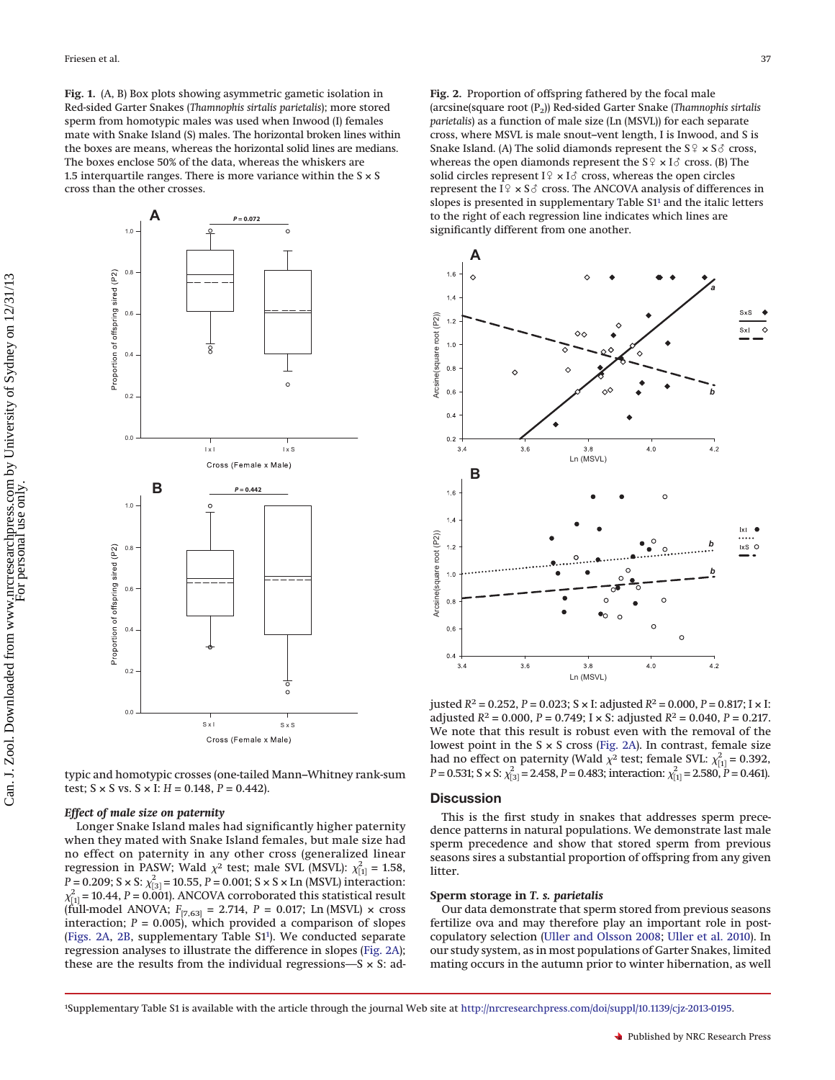<span id="page-4-0"></span>**Fig. 1.** (A, B) Box plots showing asymmetric gametic isolation in Red-sided Garter Snakes (*Thamnophis sirtalis parietalis*); more stored sperm from homotypic males was used when Inwood (I) females mate with Snake Island (S) males. The horizontal broken lines within the boxes are means, whereas the horizontal solid lines are medians. The boxes enclose 50% of the data, whereas the whiskers are 1.5 interquartile ranges. There is more variance within the  $S \times S$ cross than the other crosses.



typic and homotypic crosses (one-tailed Mann–Whitney rank-sum test;  $S \times S$  vs.  $S \times I$ :  $H = 0.148$ ,  $P = 0.442$ ).

## *Effect of male size on paternity*

Longer Snake Island males had significantly higher paternity when they mated with Snake Island females, but male size had no effect on paternity in any other cross (generalized linear regression in PASW; Wald  $\chi^2$  test; male SVL (MSVL):  $\chi^2_{[1]} = 1.58$ ,  $P = 0.209$ ; S × S:  $\chi^{2}_{[3]} = 10.55$ ,  $P = 0.001$ ; S × S × Ln (MSVL) interaction:  $\chi^2_{[1]}$  = 10.44, *P* = 0.001). ANCOVA corroborated this statistical result (full-model ANOVA; *F*[7,63] = 2.714, *P* = 0.017; Ln (MSVL) × cross interaction;  $P = 0.005$ ), which provided a comparison of slopes [\(Figs. 2A,](#page-4-1) [2B,](#page-4-1) supplementary Table S1<sup>1</sup>). We conducted separate regression analyses to illustrate the difference in slopes [\(Fig. 2A\)](#page-4-1); these are the results from the individual regressions—S  $\times$  S: ad-

<span id="page-4-1"></span>**Fig. 2.** Proportion of offspring fathered by the focal male (arcsine(square root (P2)) Red-sided Garter Snake (*Thamnophis sirtalis parietalis*) as a function of male size (Ln (MSVL)) for each separate cross, where MSVL is male snout–vent length, I is Inwood, and S is Snake Island. (A) The solid diamonds represent the S  $\varphi \rtimes$  S  $\vartheta$  cross, whereas the open diamonds represent the S $\stackrel{\circ}{\text{s}}$   $\times$  I $\stackrel{\circ}{\text{o}}$  cross. (B) The solid circles represent I $\frac{1}{2} \times I$  cross, whereas the open circles represent the I $\lhd\,$   $\times$  S  $\delta\,$  cross. The ANCOVA analysis of differences in slopes is presented in supplementary Table  $S1<sup>1</sup>$  and the italic letters to the right of each regression line indicates which lines are significantly different from one another.



justed  $R^2 = 0.252$ ,  $P = 0.023$ ;  $S \times I$ : adjusted  $R^2 = 0.000$ ,  $P = 0.817$ ;  $I \times I$ : adjusted *R*<sup>2</sup> = 0.000, *P* = 0.749; I × S: adjusted *R*<sup>2</sup> = 0.040, *P* = 0.217. We note that this result is robust even with the removal of the lowest point in the  $S \times S$  cross [\(Fig. 2A\)](#page-4-1). In contrast, female size had no effect on paternity (Wald  $\chi^2$  test; female SVL:  $\chi^2_{[1]} = 0.392$ , *P* = 0.531; S × S:  $\chi^2_{[3]}$  = 2.458, *P* = 0.483; interaction:  $\chi^2_{[1]}$  = 2.580, *P* = 0.461).

#### **Discussion**

This is the first study in snakes that addresses sperm precedence patterns in natural populations. We demonstrate last male sperm precedence and show that stored sperm from previous seasons sires a substantial proportion of offspring from any given litter.

#### **Sperm storage in** *T. s. parietalis*

Our data demonstrate that sperm stored from previous seasons fertilize ova and may therefore play an important role in postcopulatory selection [\(Uller and Olsson 2008;](#page-7-4) [Uller et al. 2010\)](#page-7-5). In our study system, as in most populations of Garter Snakes, limited mating occurs in the autumn prior to winter hibernation, as well

<span id="page-4-2"></span><sup>1</sup> Supplementary Table S1 is available with the article through the journal Web site at [http://nrcresearchpress.com/doi/suppl/10.1139/cjz-2013-0195.](http://nrcresearchpress.com/doi/suppl/10.1139/cjz-2013-0195)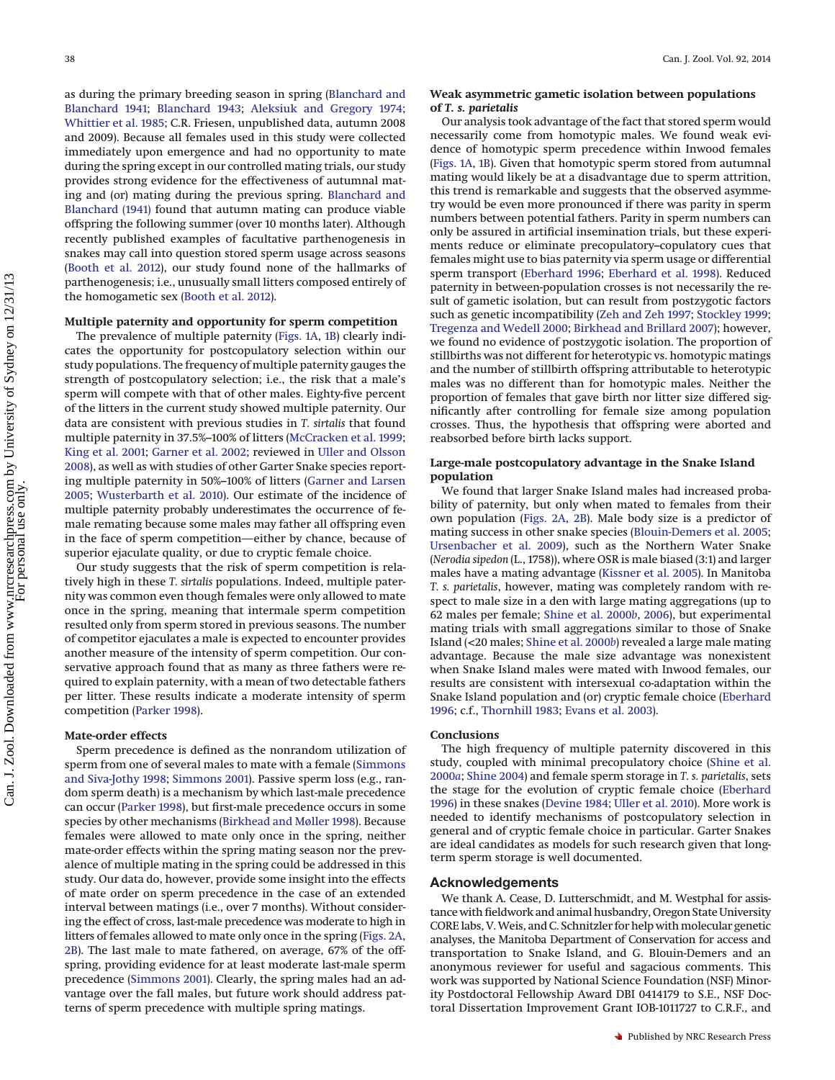as during the primary breeding season in spring [\(Blanchard and](#page-6-16) [Blanchard 1941;](#page-6-16) [Blanchard 1943;](#page-6-17) [Aleksiuk and Gregory 1974;](#page-6-23) [Whittier et al. 1985;](#page-7-14) C.R. Friesen, unpublished data, autumn 2008 and 2009). Because all females used in this study were collected immediately upon emergence and had no opportunity to mate during the spring except in our controlled mating trials, our study provides strong evidence for the effectiveness of autumnal mating and (or) mating during the previous spring. [Blanchard and](#page-6-16) [Blanchard \(1941\)](#page-6-16) found that autumn mating can produce viable offspring the following summer (over 10 months later). Although recently published examples of facultative parthenogenesis in snakes may call into question stored sperm usage across seasons [\(Booth et al. 2012\)](#page-6-43), our study found none of the hallmarks of parthenogenesis; i.e., unusually small litters composed entirely of the homogametic sex [\(Booth et al. 2012\)](#page-6-43).

# **Multiple paternity and opportunity for sperm competition**

The prevalence of multiple paternity [\(Figs. 1A,](#page-4-0) [1B\)](#page-4-0) clearly indicates the opportunity for postcopulatory selection within our study populations. The frequency of multiple paternity gauges the strength of postcopulatory selection; i.e., the risk that a male's sperm will compete with that of other males. Eighty-five percent of the litters in the current study showed multiple paternity. Our data are consistent with previous studies in *T. sirtalis* that found multiple paternity in 37.5%–100% of litters [\(McCracken et al. 1999;](#page-7-28) [King et al. 2001;](#page-6-44) [Garner et al. 2002;](#page-6-45) reviewed in [Uller and Olsson](#page-7-4) [2008\)](#page-7-4), as well as with studies of other Garter Snake species reporting multiple paternity in 50%–100% of litters [\(Garner and Larsen](#page-6-46) [2005;](#page-6-46) [Wusterbarth et al. 2010\)](#page-7-11). Our estimate of the incidence of multiple paternity probably underestimates the occurrence of female remating because some males may father all offspring even in the face of sperm competition—either by chance, because of superior ejaculate quality, or due to cryptic female choice.

Our study suggests that the risk of sperm competition is relatively high in these *T. sirtalis* populations. Indeed, multiple paternity was common even though females were only allowed to mate once in the spring, meaning that intermale sperm competition resulted only from sperm stored in previous seasons. The number of competitor ejaculates a male is expected to encounter provides another measure of the intensity of sperm competition. Our conservative approach found that as many as three fathers were required to explain paternity, with a mean of two detectable fathers per litter. These results indicate a moderate intensity of sperm competition [\(Parker 1998\)](#page-7-31).

#### **Mate-order effects**

Sperm precedence is defined as the nonrandom utilization of sperm from one of several males to mate with a female [\(Simmons](#page-7-32) [and Siva-Jothy 1998;](#page-7-32) [Simmons 2001\)](#page-7-0). Passive sperm loss (e.g., random sperm death) is a mechanism by which last-male precedence can occur [\(Parker 1998\)](#page-7-31), but first-male precedence occurs in some species by other mechanisms [\(Birkhead and Møller 1998\)](#page-6-1). Because females were allowed to mate only once in the spring, neither mate-order effects within the spring mating season nor the prevalence of multiple mating in the spring could be addressed in this study. Our data do, however, provide some insight into the effects of mate order on sperm precedence in the case of an extended interval between matings (i.e., over 7 months). Without considering the effect of cross, last-male precedence was moderate to high in litters of females allowed to mate only once in the spring [\(Figs. 2A,](#page-4-1) [2B\)](#page-4-1). The last male to mate fathered, on average, 67% of the offspring, providing evidence for at least moderate last-male sperm precedence [\(Simmons 2001\)](#page-7-0). Clearly, the spring males had an advantage over the fall males, but future work should address patterns of sperm precedence with multiple spring matings.

# **Weak asymmetric gametic isolation between populations of** *T. s. parietalis*

Our analysis took advantage of the fact that stored sperm would necessarily come from homotypic males. We found weak evidence of homotypic sperm precedence within Inwood females [\(Figs. 1A,](#page-4-0) [1B\)](#page-4-0). Given that homotypic sperm stored from autumnal mating would likely be at a disadvantage due to sperm attrition, this trend is remarkable and suggests that the observed asymmetry would be even more pronounced if there was parity in sperm numbers between potential fathers. Parity in sperm numbers can only be assured in artificial insemination trials, but these experiments reduce or eliminate precopulatory–copulatory cues that females might use to bias paternity via sperm usage or differential sperm transport [\(Eberhard 1996;](#page-6-5) [Eberhard et al. 1998\)](#page-6-47). Reduced paternity in between-population crosses is not necessarily the result of gametic isolation, but can result from postzygotic factors such as genetic incompatibility [\(Zeh and Zeh 1997;](#page-7-30) [Stockley 1999;](#page-7-33) [Tregenza and Wedell 2000;](#page-7-34) [Birkhead and Brillard 2007\)](#page-6-48); however, we found no evidence of postzygotic isolation. The proportion of stillbirths was not different for heterotypic vs. homotypic matings and the number of stillbirth offspring attributable to heterotypic males was no different than for homotypic males. Neither the proportion of females that gave birth nor litter size differed significantly after controlling for female size among population crosses. Thus, the hypothesis that offspring were aborted and reabsorbed before birth lacks support.

# **Large-male postcopulatory advantage in the Snake Island population**

We found that larger Snake Island males had increased probability of paternity, but only when mated to females from their own population [\(Figs. 2A,](#page-4-1) [2B\)](#page-4-1). Male body size is a predictor of mating success in other snake species [\(Blouin-Demers et al. 2005;](#page-6-49) [Ursenbacher et al. 2009\)](#page-7-35), such as the Northern Water Snake (*Nerodia sipedon* (L., 1758)), where OSR is male biased (3:1) and larger males have a mating advantage [\(Kissner et al. 2005\)](#page-6-50). In Manitoba *T. s. parietalis*, however, mating was completely random with respect to male size in a den with large mating aggregations (up to 62 males per female; [Shine et al. 2000](#page-7-15)*b*, [2006\)](#page-7-26), but experimental mating trials with small aggregations similar to those of Snake Island (<20 males; [Shine et al. 2000](#page-7-15)*b*) revealed a large male mating advantage. Because the male size advantage was nonexistent when Snake Island males were mated with Inwood females, our results are consistent with intersexual co-adaptation within the Snake Island population and (or) cryptic female choice [\(Eberhard](#page-6-5) [1996;](#page-6-5) c.f., [Thornhill 1983;](#page-7-36) [Evans et al. 2003\)](#page-6-51).

#### **Conclusions**

The high frequency of multiple paternity discovered in this study, coupled with minimal precopulatory choice [\(Shine et al.](#page-7-37) [2000](#page-7-37)*a*; [Shine 2004\)](#page-7-38) and female sperm storage in *T. s. parietalis*, sets the stage for the evolution of cryptic female choice [\(Eberhard](#page-6-5) [1996\)](#page-6-5) in these snakes [\(Devine 1984;](#page-6-15) [Uller et al. 2010\)](#page-7-5). More work is needed to identify mechanisms of postcopulatory selection in general and of cryptic female choice in particular. Garter Snakes are ideal candidates as models for such research given that longterm sperm storage is well documented.

## **Acknowledgements**

We thank A. Cease, D. Lutterschmidt, and M. Westphal for assistance with fieldwork and animal husbandry, Oregon State University CORE labs, V.Weis, and C. Schnitzler for help with molecular genetic analyses, the Manitoba Department of Conservation for access and transportation to Snake Island, and G. Blouin-Demers and an anonymous reviewer for useful and sagacious comments. This work was supported by National Science Foundation (NSF) Minority Postdoctoral Fellowship Award DBI 0414179 to S.E., NSF Doctoral Dissertation Improvement Grant IOB-1011727 to C.R.F., and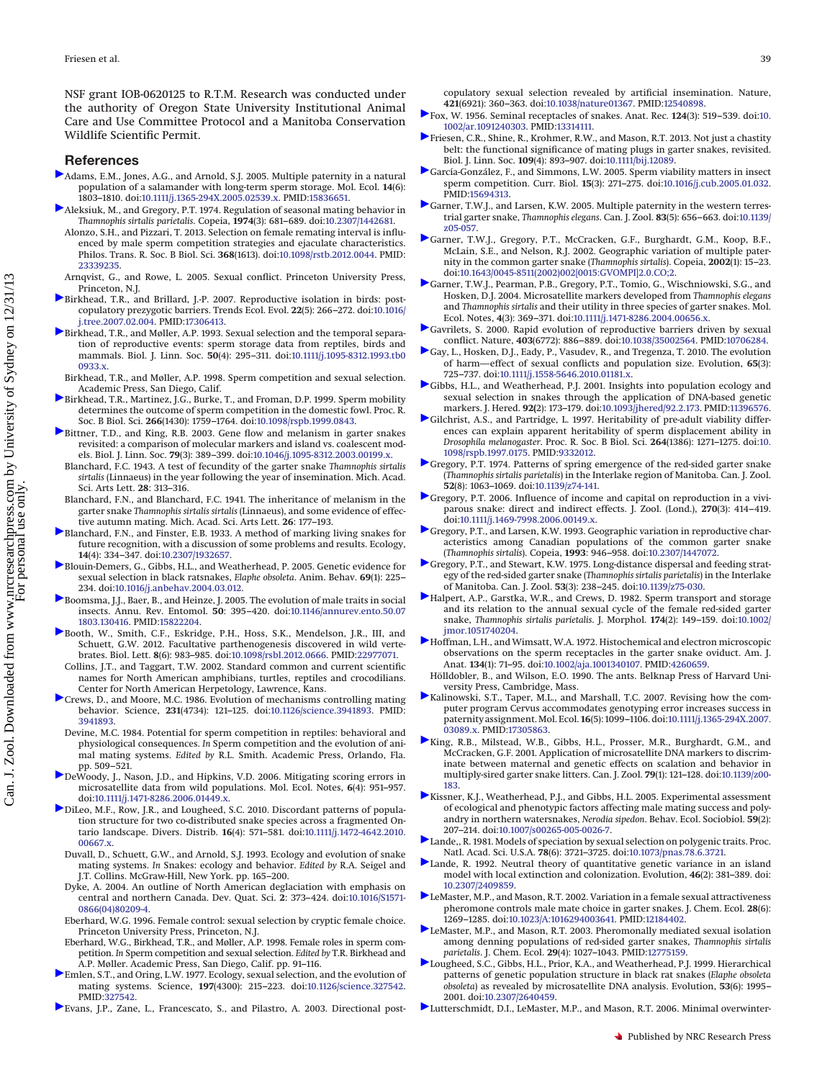NSF grant IOB-0620125 to R.T.M. Research was conducted under the authority of Oregon State University Institutional Animal Care and Use Committee Protocol and a Manitoba Conservation Wildlife Scientific Permit.

## **References**

- <span id="page-6-7"></span>Adams, E.M., Jones, A.G., and Arnold, S.J. 2005. Multiple paternity in a natural population of a salamander with long-term sperm storage. Mol. Ecol. **14**(6): 1803–1810. doi[:10.1111/j.1365-294X.2005.02539.x.](http://dx.doi.org/10.1111/j.1365-294X.2005.02539.x) PMID[:15836651.](http://www.ncbi.nlm.nih.gov/pubmed/15836651)
- <span id="page-6-23"></span>Aleksiuk, M., and Gregory, P.T. 1974. Regulation of seasonal mating behavior in *Thamnophis sirtalis parietalis*. Copeia, **1974**(3): 681–689. doi[:10.2307/1442681.](http://dx.doi.org/10.2307/1442681)
- <span id="page-6-4"></span>Alonzo, S.H., and Pizzari, T. 2013. Selection on female remating interval is influenced by male sperm competition strategies and ejaculate characteristics. Philos. Trans. R. Soc. B Biol. Sci. **368**(1613). doi[:10.1098/rstb.2012.0044.](http://dx.doi.org/10.1098/rstb.2012.0044) PMID: [23339235.](http://www.ncbi.nlm.nih.gov/pubmed/23339235)
- <span id="page-6-6"></span>Arnqvist, G., and Rowe, L. 2005. Sexual conflict. Princeton University Press, Princeton, N.J.
- <span id="page-6-48"></span>Birkhead, T.R., and Brillard, J.-P. 2007. Reproductive isolation in birds: postcopulatory prezygotic barriers. Trends Ecol. Evol. **22**(5): 266–272. doi[:10.1016/](http://dx.doi.org/10.1016/j.tree.2007.02.004) [j.tree.2007.02.004.](http://dx.doi.org/10.1016/j.tree.2007.02.004) PMID[:17306413.](http://www.ncbi.nlm.nih.gov/pubmed/17306413)
- <span id="page-6-0"></span>Birkhead, T.R., and Møller, A.P. 1993. Sexual selection and the temporal separation of reproductive events: sperm storage data from reptiles, birds and mammals. Biol. J. Linn. Soc. **50**(4): 295–311. doi[:10.1111/j.1095-8312.1993.tb0](http://dx.doi.org/10.1111/j.1095-8312.1993.tb00933.x) [0933.x.](http://dx.doi.org/10.1111/j.1095-8312.1993.tb00933.x)
- <span id="page-6-1"></span>Birkhead, T.R., and Møller, A.P. 1998. Sperm competition and sexual selection. Academic Press, San Diego, Calif.
- <span id="page-6-2"></span>Birkhead, T.R., Martinez, J.G., Burke, T., and Froman, D.P. 1999. Sperm mobility determines the outcome of sperm competition in the domestic fowl. Proc. R. Soc. B Biol. Sci. **266**(1430): 1759–1764. doi[:10.1098/rspb.1999.0843.](http://dx.doi.org/10.1098/rspb.1999.0843)
- <span id="page-6-27"></span>Bittner, T.D., and King, R.B. 2003. Gene flow and melanism in garter snakes revisited: a comparison of molecular markers and island vs. coalescent models. Biol. J. Linn. Soc. **79**(3): 389–399. doi[:10.1046/j.1095-8312.2003.00199.x.](http://dx.doi.org/10.1046/j.1095-8312.2003.00199.x)
- <span id="page-6-17"></span>Blanchard, F.C. 1943. A test of fecundity of the garter snake *Thamnophis sirtalis sirtalis* (Linnaeus) in the year following the year of insemination. Mich. Acad. Sci. Arts Lett. **28**: 313–316.
- <span id="page-6-16"></span>Blanchard, F.N., and Blanchard, F.C. 1941. The inheritance of melanism in the garter snake *Thamnophis sirtalis sirtalis* (Linnaeus), and some evidence of effective autumn mating. Mich. Acad. Sci. Arts Lett. **26**: 177–193.
- <span id="page-6-36"></span>Blanchard, F.N., and Finster, E.B. 1933. A method of marking living snakes for future recognition, with a discussion of some problems and results. Ecology, **14**(4): 334–347. doi[:10.2307/1932657.](http://dx.doi.org/10.2307/1932657)
- <span id="page-6-49"></span>Blouin-Demers, G., Gibbs, H.L., and Weatherhead, P. 2005. Genetic evidence for sexual selection in black ratsnakes, *Elaphe obsoleta*. Anim. Behav. **69**(1): 225– 234. doi[:10.1016/j.anbehav.2004.03.012.](http://dx.doi.org/10.1016/j.anbehav.2004.03.012)
- <span id="page-6-9"></span>Boomsma, J.J., Baer, B., and Heinze, J. 2005. The evolution of male traits in social insects. Annu. Rev. Entomol. **50**: 395–420. doi[:10.1146/annurev.ento.50.07](http://dx.doi.org/10.1146/annurev.ento.50.071803.130416) [1803.130416.](http://dx.doi.org/10.1146/annurev.ento.50.071803.130416) PMID[:15822204.](http://www.ncbi.nlm.nih.gov/pubmed/15822204)
- <span id="page-6-43"></span>Booth, W., Smith, C.F., Eskridge, P.H., Hoss, S.K., Mendelson, J.R., III, and Schuett, G.W. 2012. Facultative parthenogenesis discovered in wild vertebrates. Biol. Lett. **8**(6): 983–985. doi[:10.1098/rsbl.2012.0666.](http://dx.doi.org/10.1098/rsbl.2012.0666) PMID[:22977071.](http://www.ncbi.nlm.nih.gov/pubmed/22977071)
- <span id="page-6-11"></span>Collins, J.T., and Taggart, T.W. 2002. Standard common and current scientific names for North American amphibians, turtles, reptiles and crocodilians. Center for North American Herpetology, Lawrence, Kans.
- <span id="page-6-10"></span>Crews, D., and Moore, M.C. 1986. Evolution of mechanisms controlling mating behavior. Science, **231**(4734): 121–125. doi[:10.1126/science.3941893.](http://dx.doi.org/10.1126/science.3941893) PMID: [3941893.](http://www.ncbi.nlm.nih.gov/pubmed/3941893)
- <span id="page-6-15"></span>Devine, M.C. 1984. Potential for sperm competition in reptiles: behavioral and physiological consequences. *In* Sperm competition and the evolution of animal mating systems. *Edited by* R.L. Smith. Academic Press, Orlando, Fla. pp. 509–521.
- <span id="page-6-38"></span>DeWoody, J., Nason, J.D., and Hipkins, V.D. 2006. Mitigating scoring errors in microsatellite data from wild populations. Mol. Ecol. Notes, **6**(4): 951–957. doi[:10.1111/j.1471-8286.2006.01449.x.](http://dx.doi.org/10.1111/j.1471-8286.2006.01449.x)
- <span id="page-6-28"></span><span id="page-6-18"></span>DiLeo, M.F., Row, J.R., and Lougheed, S.C. 2010. Discordant patterns of population structure for two co-distributed snake species across a fragmented Ontario landscape. Divers. Distrib. **16**(4): 571–581. doi[:10.1111/j.1472-4642.2010.](http://dx.doi.org/10.1111/j.1472-4642.2010.00667.x) [00667.x.](http://dx.doi.org/10.1111/j.1472-4642.2010.00667.x)
	- Duvall, D., Schuett, G.W., and Arnold, S.J. 1993. Ecology and evolution of snake mating systems. *In* Snakes: ecology and behavior. *Edited by* R.A. Seigel and J.T. Collins. McGraw-Hill, New York. pp. 165–200.
	- Dyke, A. 2004. An outline of North American deglaciation with emphasis on central and northern Canada. Dev. Quat. Sci. **2**: 373–424. doi[:10.1016/S1571-](http://dx.doi.org/10.1016/S1571-0866(04)80209-4) [0866\(04\)80209-4.](http://dx.doi.org/10.1016/S1571-0866(04)80209-4)
- <span id="page-6-29"></span><span id="page-6-5"></span>Eberhard, W.G. 1996. Female control: sexual selection by cryptic female choice. Princeton University Press, Princeton, N.J.
- <span id="page-6-47"></span>Eberhard, W.G., Birkhead, T.R., and Møller, A.P. 1998. Female roles in sperm competition. *In* Sperm competition and sexual selection. *Edited by* T.R. Birkhead and A.P. Møller. Academic Press, San Diego, Calif. pp. 91–116.
- <span id="page-6-24"></span>Emlen, S.T., and Oring, L.W. 1977. Ecology, sexual selection, and the evolution of mating systems. Science, **197**(4300): 215–223. doi[:10.1126/science.327542.](http://dx.doi.org/10.1126/science.327542) PMID[:327542.](http://www.ncbi.nlm.nih.gov/pubmed/327542)
- <span id="page-6-51"></span>Evans, J.P., Zane, L., Francescato, S., and Pilastro, A. 2003. Directional post-

copulatory sexual selection revealed by artificial insemination. Nature, **421**(6921): 360–363. doi[:10.1038/nature01367.](http://dx.doi.org/10.1038/nature01367) PMID[:12540898.](http://www.ncbi.nlm.nih.gov/pubmed/12540898)

- <span id="page-6-12"></span>Fox, W. 1956. Seminal receptacles of snakes. Anat. Rec. **124**(3): 519–539. doi[:10.](http://dx.doi.org/10.1002/ar.1091240303) [1002/ar.1091240303.](http://dx.doi.org/10.1002/ar.1091240303) PMID[:13314111.](http://www.ncbi.nlm.nih.gov/pubmed/13314111)
- <span id="page-6-20"></span>Friesen, C.R., Shine, R., Krohmer, R.W., and Mason, R.T. 2013. Not just a chastity belt: the functional significance of mating plugs in garter snakes, revisited. Biol. J. Linn. Soc. **109**(4): 893–907. doi[:10.1111/bij.12089.](http://dx.doi.org/10.1111/bij.12089)
- <span id="page-6-3"></span>García-González, F., and Simmons, L.W. 2005. Sperm viability matters in insect sperm competition. Curr. Biol. **15**(3): 271–275. doi[:10.1016/j.cub.2005.01.032.](http://dx.doi.org/10.1016/j.cub.2005.01.032) PMID[:15694313.](http://www.ncbi.nlm.nih.gov/pubmed/15694313)
- <span id="page-6-46"></span>Garner, T.W.J., and Larsen, K.W. 2005. Multiple paternity in the western terrestrial garter snake, *Thamnophis elegans*. Can. J. Zool. **83**(5): 656–663. doi[:10.1139/](http://dx.doi.org/10.1139/z05-057) [z05-057.](http://dx.doi.org/10.1139/z05-057)
- <span id="page-6-45"></span>Garner, T.W.J., Gregory, P.T., McCracken, G.F., Burghardt, G.M., Koop, B.F., McLain, S.E., and Nelson, R.J. 2002. Geographic variation of multiple paternity in the common garter snake (*Thamnophis sirtalis*). Copeia, **2002**(1): 15–23. doi[:10.1643/0045-8511\(2002\)002\[0015:GVOMPI\]2.0.CO;2.](http://dx.doi.org/10.1643/0045-8511(2002)002%5B0015%3AGVOMPI%5D2.0.CO%3B2)
- <span id="page-6-37"></span>Garner, T.W.J., Pearman, P.B., Gregory, P.T., Tomio, G., Wischniowski, S.G., and Hosken, D.J. 2004. Microsatellite markers developed from *Thamnophis elegans* and *Thamnophis sirtalis* and their utility in three species of garter snakes. Mol. Ecol. Notes, **4**(3): 369–371. doi[:10.1111/j.1471-8286.2004.00656.x.](http://dx.doi.org/10.1111/j.1471-8286.2004.00656.x)
- <span id="page-6-33"></span>Gavrilets, S. 2000. Rapid evolution of reproductive barriers driven by sexual conflict. Nature, **403**(6772): 886–889. doi[:10.1038/35002564.](http://dx.doi.org/10.1038/35002564) PMID[:10706284.](http://www.ncbi.nlm.nih.gov/pubmed/10706284)
- <span id="page-6-34"></span>Gay, L., Hosken, D.J., Eady, P., Vasudev, R., and Tregenza, T. 2010. The evolution of harm—effect of sexual conflicts and population size. Evolution, **65**(3): 725–737. doi[:10.1111/j.1558-5646.2010.01181.x.](http://dx.doi.org/10.1111/j.1558-5646.2010.01181.x)
- <span id="page-6-26"></span>Gibbs, H.L., and Weatherhead, P.J. 2001. Insights into population ecology and sexual selection in snakes through the application of DNA-based genetic markers. J. Hered. **92(**2): 173–179. doi[:10.1093/jhered/92.2.173.](http://dx.doi.org/10.1093/jhered/92.2.173) PMID[:11396576.](http://www.ncbi.nlm.nih.gov/pubmed/11396576)
- <span id="page-6-40"></span>Gilchrist, A.S., and Partridge, L. 1997. Heritability of pre-adult viability differences can explain apparent heritability of sperm displacement ability in *Drosophila melanogaster*. Proc. R. Soc. B Biol. Sci. **264**(1386): 1271–1275. doi[:10.](http://dx.doi.org/10.1098/rspb.1997.0175) [1098/rspb.1997.0175.](http://dx.doi.org/10.1098/rspb.1997.0175) PMID[:9332012.](http://www.ncbi.nlm.nih.gov/pubmed/9332012)
- <span id="page-6-21"></span>Gregory, P.T. 1974. Patterns of spring emergence of the red-sided garter snake (*Thamnophis sirtalis parietalis*) in the Interlake region of Manitoba. Can. J. Zool. **52**(8): 1063–1069. doi[:10.1139/z74-141.](http://dx.doi.org/10.1139/z74-141)
- <span id="page-6-42"></span>Gregory, P.T. 2006. Influence of income and capital on reproduction in a viviparous snake: direct and indirect effects. J. Zool. (Lond.), **270**(3): 414–419. doi[:10.1111/j.1469-7998.2006.00149.x.](http://dx.doi.org/10.1111/j.1469-7998.2006.00149.x)
- <span id="page-6-41"></span>Gregory, P.T., and Larsen, K.W. 1993. Geographic variation in reproductive characteristics among Canadian populations of the common garter snake (*Thamnophis sirtalis*). Copeia, **1993**: 946–958. doi[:10.2307/1447072.](http://dx.doi.org/10.2307/1447072)
- <span id="page-6-22"></span>Gregory, P.T., and Stewart, K.W. 1975. Long-distance dispersal and feeding strategy of the red-sided garter snake (*Thamnophis sirtalis parietalis*) in the Interlake of Manitoba. Can. J. Zool. **53**(3): 238–245. doi[:10.1139/z75-030.](http://dx.doi.org/10.1139/z75-030)
- <span id="page-6-14"></span>Halpert, A.P., Garstka, W.R., and Crews, D. 1982. Sperm transport and storage and its relation to the annual sexual cycle of the female red-sided garter snake, *Thamnophis sirtalis parietalis*. J. Morphol. **174**(2): 149–159. doi[:10.1002/](http://dx.doi.org/10.1002/jmor.1051740204) [jmor.1051740204.](http://dx.doi.org/10.1002/jmor.1051740204)
- <span id="page-6-13"></span>Hoffman, L.H., and Wimsatt, W.A. 1972. Histochemical and electron microscopic observations on the sperm receptacles in the garter snake oviduct. Am. J. Anat. **134**(1): 71–95. doi[:10.1002/aja.1001340107.](http://dx.doi.org/10.1002/aja.1001340107) PMID[:4260659.](http://www.ncbi.nlm.nih.gov/pubmed/4260659)
- <span id="page-6-8"></span>Hölldobler, B., and Wilson, E.O. 1990. The ants. Belknap Press of Harvard University Press, Cambridge, Mass.
- <span id="page-6-39"></span>Kalinowski, S.T., Taper, M.L., and Marshall, T.C. 2007. Revising how the computer program Cervus accommodates genotyping error increases success in paternity assignment.Mol. Ecol. **16**(5): 1099–1106. doi[:10.1111/j.1365-294X.2007.](http://dx.doi.org/10.1111/j.1365-294X.2007.03089.x) [03089.x.](http://dx.doi.org/10.1111/j.1365-294X.2007.03089.x) PMID[:17305863.](http://www.ncbi.nlm.nih.gov/pubmed/17305863)
- <span id="page-6-44"></span>King, R.B., Milstead, W.B., Gibbs, H.L., Prosser, M.R., Burghardt, G.M., and McCracken, G.F. 2001. Application of microsatellite DNA markers to discriminate between maternal and genetic effects on scalation and behavior in multiply-sired garter snake litters. Can. J. Zool. **79**(1): 121–128. doi[:10.1139/z00-](http://dx.doi.org/10.1139/z00-183) [183.](http://dx.doi.org/10.1139/z00-183)
- <span id="page-6-50"></span>Kissner, K.J., Weatherhead, P.J., and Gibbs, H.L. 2005. Experimental assessment of ecological and phenotypic factors affecting male mating success and polyandry in northern watersnakes, *Nerodia sipedon*. Behav. Ecol. Sociobiol. **59**(2): 207–214. doi[:10.1007/s00265-005-0026-7.](http://dx.doi.org/10.1007/s00265-005-0026-7)
- <span id="page-6-32"></span>Lande,, R. 1981. Models of speciation by sexual selection on polygenic traits. Proc. Natl. Acad. Sci. U.S.A. **78**(6): 3721–3725. doi[:10.1073/pnas.78.6.3721.](http://dx.doi.org/10.1073/pnas.78.6.3721)
- <span id="page-6-31"></span>Lande, R. 1992. Neutral theory of quantitative genetic variance in an island model with local extinction and colonization. Evolution, **46**(2): 381–389. doi: [10.2307/2409859.](http://dx.doi.org/10.2307/2409859)
- <span id="page-6-19"></span>LeMaster, M.P., and Mason, R.T. 2002. Variation in a female sexual attractiveness pheromone controls male mate choice in garter snakes. J. Chem. Ecol. **28**(6): 1269–1285. doi[:10.1023/A:1016294003641.](http://dx.doi.org/10.1023/A%3A1016294003641) PMID[:12184402.](http://www.ncbi.nlm.nih.gov/pubmed/12184402)
- <span id="page-6-30"></span>LeMaster, M.P., and Mason, R.T. 2003. Pheromonally mediated sexual isolation among denning populations of red-sided garter snakes, *Thamnophis sirtalis parietalis*. J. Chem. Ecol. **29**(4): 1027–1043. PMID[:12775159.](http://www.ncbi.nlm.nih.gov/pubmed/12775159)
- <span id="page-6-25"></span>Lougheed, S.C., Gibbs, H.L., Prior, K.A., and Weatherhead, P.J. 1999. Hierarchical patterns of genetic population structure in black rat snakes (*Elaphe obsoleta obsoleta*) as revealed by microsatellite DNA analysis. Evolution, **53**(6): 1995– 2001. doi[:10.2307/2640459.](http://dx.doi.org/10.2307/2640459)
- <span id="page-6-35"></span>Lutterschmidt, D.I., LeMaster, M.P., and Mason, R.T. 2006. Minimal overwinter-